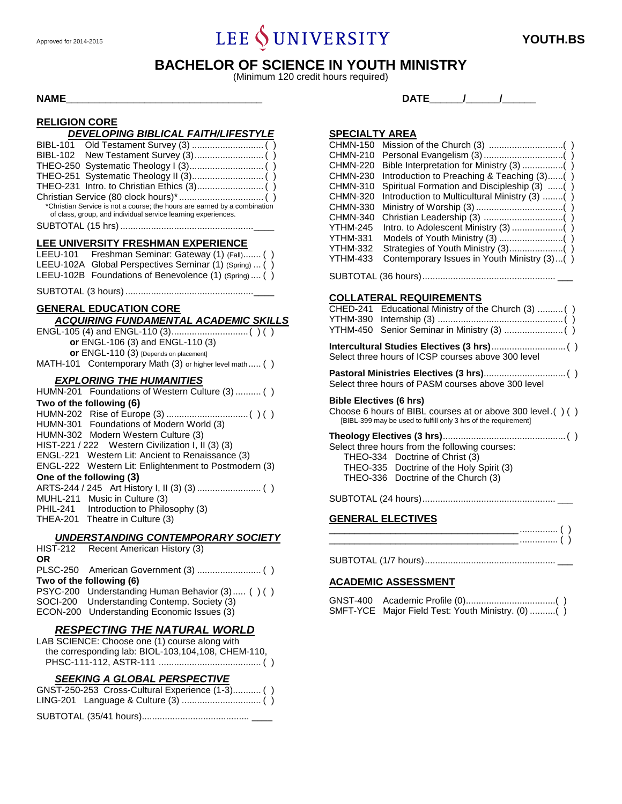# Approved for 2014-2015 **YOUTH.BS**

### **BACHELOR OF SCIENCE IN YOUTH MINISTRY**

(Minimum 120 credit hours required)

#### **RELIGION CORE**

| RELIGIUN CURE                                                                                                                                                                                                  |
|----------------------------------------------------------------------------------------------------------------------------------------------------------------------------------------------------------------|
| DEVELOPING BIBLICAL FAITH/LIFESTYLE<br><b>BIBL-102</b><br>*Christian Service is not a course; the hours are earned by a combination<br>of class, group, and individual service learning experiences.           |
| LEE UNIVERSITY FRESHMAN EXPERIENCE<br>Freshman Seminar: Gateway (1) (Fall) ()<br>LEEU-101<br>Global Perspectives Seminar (1) (Spring)  ()<br>LEEU-102A<br>LEEU-102B Foundations of Benevolence (1) (Spring) () |
|                                                                                                                                                                                                                |
| <b>GENERAL EDUCATION CORE</b><br><b>ACQUIRING FUNDAMENTAL ACADEMIC SKILLS</b>                                                                                                                                  |
| or ENGL-106 (3) and ENGL-110 (3)<br>or ENGL-110 (3) [Depends on placement]<br>MATH-101 Contemporary Math (3) or higher level math ()                                                                           |
|                                                                                                                                                                                                                |
|                                                                                                                                                                                                                |
| <b>EXPLORING THE HUMANITIES</b><br>HUMN-201 Foundations of Western Culture (3)  ( )                                                                                                                            |
| Two of the following (6)<br>HUMN-202<br>HUMN-301<br>Foundations of Modern World (3)                                                                                                                            |
| HUMN-302 Modern Western Culture (3)<br>HIST-221 / 222<br>Western Civilization I, II (3) (3)<br>ENGL-221 Western Lit: Ancient to Renaissance (3)                                                                |
| <b>ENGL-222</b><br>Western Lit: Enlightenment to Postmodern (3)<br>One of the following (3)<br>Music in Culture (3)<br><b>MUHL-211</b>                                                                         |
| Introduction to Philosophy (3)<br>PHIL-241<br>Theatre in Culture (3)<br>THEA-201                                                                                                                               |
| <b>UNDERSTANDING CONTEMPORARY SOCIETY</b><br><b>HIST-212</b><br>Recent American History (3)<br>ΟR                                                                                                              |
| <b>PLSC-250</b><br>Two of the following (6)<br><b>PSYC-200</b><br>Understanding Human Behavior (3) () ()                                                                                                       |

#### *RESPECTING THE NATURAL WORLD*

| LAB SCIENCE: Choose one (1) course along with      |  |
|----------------------------------------------------|--|
| the corresponding lab: BIOL-103,104,108, CHEM-110, |  |
|                                                    |  |

#### *SEEKING A GLOBAL PERSPECTIVE*

| GNST-250-253 Cross-Cultural Experience (1-3) () |
|-------------------------------------------------|
|                                                 |
|                                                 |

**NAME\_\_\_\_\_\_\_\_\_\_\_\_\_\_\_\_\_\_\_\_\_\_\_\_\_\_\_\_\_\_\_\_\_\_\_ DATE\_\_\_\_\_\_/\_\_\_\_\_\_/\_\_\_\_\_\_**

#### **SPECIALTY AREA**

| CHMN-150 |                                               |
|----------|-----------------------------------------------|
| CHMN-210 |                                               |
| CHMN-220 |                                               |
| CHMN-230 | Introduction to Preaching & Teaching (3)()    |
| CHMN-310 | Spiritual Formation and Discipleship (3) ()   |
| CHMN-320 | Introduction to Multicultural Ministry (3) () |
| CHMN-330 |                                               |
| CHMN-340 |                                               |
| YTHM-245 |                                               |
| YTHM-331 |                                               |
| YTHM-332 |                                               |
| YTHM-433 | Contemporary Issues in Youth Ministry (3)()   |
|          |                                               |

| <b>COLLATERAL REQUIREMENTS</b>                                                                                               |
|------------------------------------------------------------------------------------------------------------------------------|
| CHED-241 Educational Ministry of the Church (3)  ()                                                                          |
| Select three hours of ICSP courses above 300 level                                                                           |
| Select three hours of PASM courses above 300 level                                                                           |
| <b>Bible Electives (6 hrs)</b>                                                                                               |
| Choose 6 hours of BIBL courses at or above 300 level.()()<br>[BIBL-399 may be used to fulfill only 3 hrs of the requirement] |
|                                                                                                                              |
| Select three hours from the following courses:                                                                               |
| THEO-334 Doctrine of Christ (3)                                                                                              |
| THEO-335 Doctrine of the Holy Spirit (3)                                                                                     |
| THEO-336 Doctrine of the Church (3)                                                                                          |
|                                                                                                                              |

#### **GENERAL ELECTIVES**

### SUBTOTAL (1/7 hours)................................................... \_\_\_

#### **ACADEMIC ASSESSMENT**

| SMFT-YCE Major Field Test: Youth Ministry. (0) () |  |
|---------------------------------------------------|--|